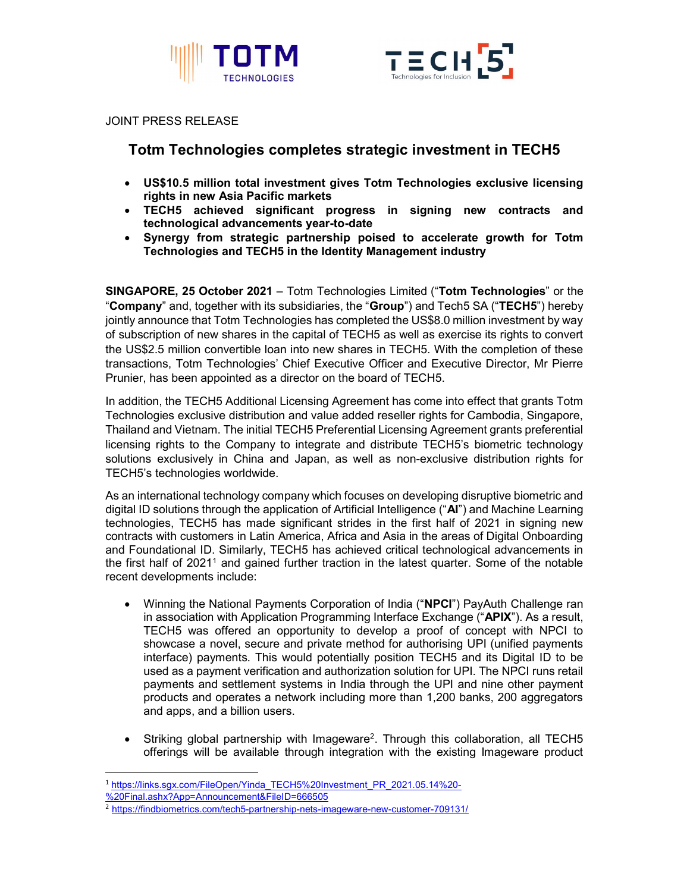



#### JOINT PRESS RELEASE

# Totm Technologies completes strategic investment in TECH5

- US\$10.5 million total investment gives Totm Technologies exclusive licensing rights in new Asia Pacific markets
- TECH5 achieved significant progress in signing new contracts and technological advancements year-to-date
- Synergy from strategic partnership poised to accelerate growth for Totm Technologies and TECH5 in the Identity Management industry

SINGAPORE, 25 October 2021 – Totm Technologies Limited ("Totm Technologies" or the "Company" and, together with its subsidiaries, the "Group") and Tech5 SA ("TECH5") hereby jointly announce that Totm Technologies has completed the US\$8.0 million investment by way of subscription of new shares in the capital of TECH5 as well as exercise its rights to convert the US\$2.5 million convertible loan into new shares in TECH5. With the completion of these transactions, Totm Technologies' Chief Executive Officer and Executive Director, Mr Pierre Prunier, has been appointed as a director on the board of TECH5.

In addition, the TECH5 Additional Licensing Agreement has come into effect that grants Totm Technologies exclusive distribution and value added reseller rights for Cambodia, Singapore, Thailand and Vietnam. The initial TECH5 Preferential Licensing Agreement grants preferential licensing rights to the Company to integrate and distribute TECH5's biometric technology solutions exclusively in China and Japan, as well as non-exclusive distribution rights for TECH5's technologies worldwide.

As an international technology company which focuses on developing disruptive biometric and digital ID solutions through the application of Artificial Intelligence ("AI") and Machine Learning technologies, TECH5 has made significant strides in the first half of 2021 in signing new contracts with customers in Latin America, Africa and Asia in the areas of Digital Onboarding and Foundational ID. Similarly, TECH5 has achieved critical technological advancements in the first half of 2021<sup>1</sup> and gained further traction in the latest quarter. Some of the notable recent developments include:

- Winning the National Payments Corporation of India ("NPCI") PayAuth Challenge ran in association with Application Programming Interface Exchange ("**APIX**"). As a result, TECH5 was offered an opportunity to develop a proof of concept with NPCI to showcase a novel, secure and private method for authorising UPI (unified payments interface) payments. This would potentially position TECH5 and its Digital ID to be used as a payment verification and authorization solution for UPI. The NPCI runs retail payments and settlement systems in India through the UPI and nine other payment products and operates a network including more than 1,200 banks, 200 aggregators and apps, and a billion users.
- Striking global partnership with Imageware<sup>2</sup>. Through this collaboration, all TECH5 offerings will be available through integration with the existing Imageware product

1

<sup>&</sup>lt;sup>1</sup> https://links.sgx.com/FileOpen/Yinda\_TECH5%20Investment\_PR\_2021.05.14%20-

<sup>%20</sup>Final.ashx?App=Announcement&FileID=666505

<sup>&</sup>lt;sup>2</sup> https://findbiometrics.com/tech5-partnership-nets-imageware-new-customer-709131/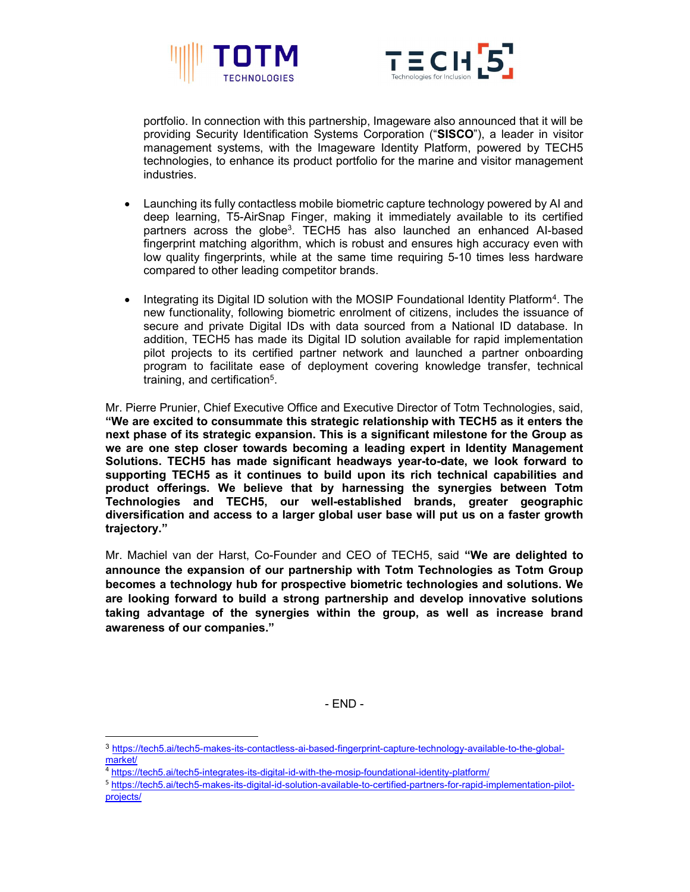



portfolio. In connection with this partnership, Imageware also announced that it will be providing Security Identification Systems Corporation ("SISCO"), a leader in visitor management systems, with the Imageware Identity Platform, powered by TECH5 technologies, to enhance its product portfolio for the marine and visitor management industries.

- Launching its fully contactless mobile biometric capture technology powered by AI and deep learning, T5-AirSnap Finger, making it immediately available to its certified partners across the globe<sup>3</sup>. TECH5 has also launched an enhanced Al-based fingerprint matching algorithm, which is robust and ensures high accuracy even with low quality fingerprints, while at the same time requiring 5-10 times less hardware compared to other leading competitor brands.
- Integrating its Digital ID solution with the MOSIP Foundational Identity Platform<sup>4</sup>. The new functionality, following biometric enrolment of citizens, includes the issuance of secure and private Digital IDs with data sourced from a National ID database. In addition, TECH5 has made its Digital ID solution available for rapid implementation pilot projects to its certified partner network and launched a partner onboarding program to facilitate ease of deployment covering knowledge transfer, technical training, and certification<sup>5</sup>.

Mr. Pierre Prunier, Chief Executive Office and Executive Director of Totm Technologies, said, "We are excited to consummate this strategic relationship with TECH5 as it enters the next phase of its strategic expansion. This is a significant milestone for the Group as we are one step closer towards becoming a leading expert in Identity Management Solutions. TECH5 has made significant headways year-to-date, we look forward to supporting TECH5 as it continues to build upon its rich technical capabilities and product offerings. We believe that by harnessing the synergies between Totm Technologies and TECH5, our well-established brands, greater geographic diversification and access to a larger global user base will put us on a faster growth trajectory."

Mr. Machiel van der Harst, Co-Founder and CEO of TECH5, said "We are delighted to announce the expansion of our partnership with Totm Technologies as Totm Group becomes a technology hub for prospective biometric technologies and solutions. We are looking forward to build a strong partnership and develop innovative solutions taking advantage of the synergies within the group, as well as increase brand awareness of our companies."

- END -

1

<sup>3</sup> https://tech5.ai/tech5-makes-its-contactless-ai-based-fingerprint-capture-technology-available-to-the-globalmarket/

<sup>4</sup> https://tech5.ai/tech5-integrates-its-digital-id-with-the-mosip-foundational-identity-platform/

<sup>5</sup> https://tech5.ai/tech5-makes-its-digital-id-solution-available-to-certified-partners-for-rapid-implementation-pilotprojects/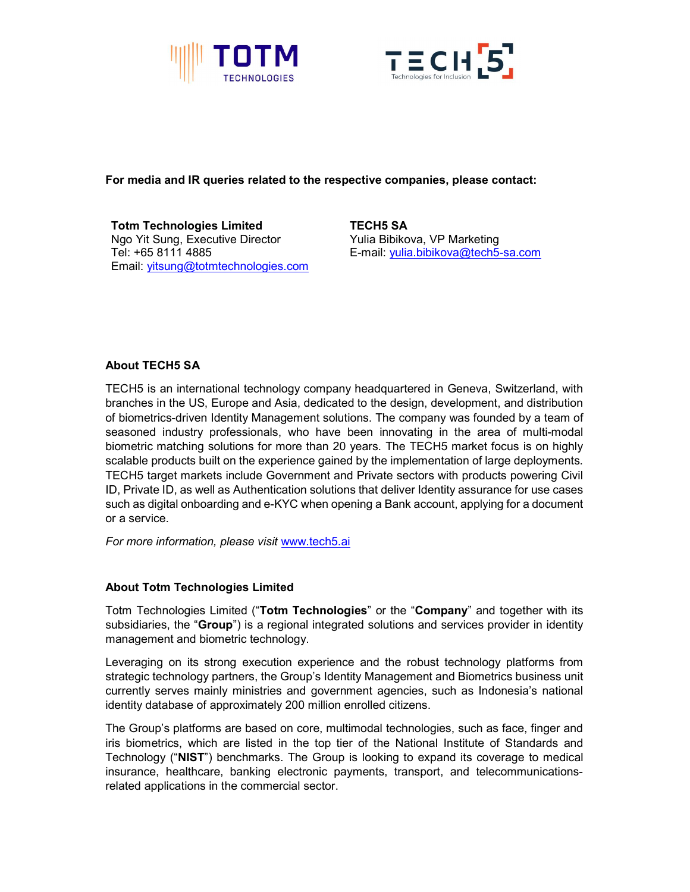



## For media and IR queries related to the respective companies, please contact:

Totm Technologies Limited Ngo Yit Sung, Executive Director Tel: +65 8111 4885 Email: yitsung@totmtechnologies.com TECH5 SA Yulia Bibikova, VP Marketing E-mail: yulia.bibikova@tech5-sa.com

# About TECH5 SA

TECH5 is an international technology company headquartered in Geneva, Switzerland, with branches in the US, Europe and Asia, dedicated to the design, development, and distribution of biometrics-driven Identity Management solutions. The company was founded by a team of seasoned industry professionals, who have been innovating in the area of multi-modal biometric matching solutions for more than 20 years. The TECH5 market focus is on highly scalable products built on the experience gained by the implementation of large deployments. TECH5 target markets include Government and Private sectors with products powering Civil ID, Private ID, as well as Authentication solutions that deliver Identity assurance for use cases such as digital onboarding and e-KYC when opening a Bank account, applying for a document or a service.

For more information, please visit www.tech5.ai

### About Totm Technologies Limited

Totm Technologies Limited ("Totm Technologies" or the "Company" and together with its subsidiaries, the "Group") is a regional integrated solutions and services provider in identity management and biometric technology.

Leveraging on its strong execution experience and the robust technology platforms from strategic technology partners, the Group's Identity Management and Biometrics business unit currently serves mainly ministries and government agencies, such as Indonesia's national identity database of approximately 200 million enrolled citizens.

The Group's platforms are based on core, multimodal technologies, such as face, finger and iris biometrics, which are listed in the top tier of the National Institute of Standards and Technology ("NIST") benchmarks. The Group is looking to expand its coverage to medical insurance, healthcare, banking electronic payments, transport, and telecommunicationsrelated applications in the commercial sector.